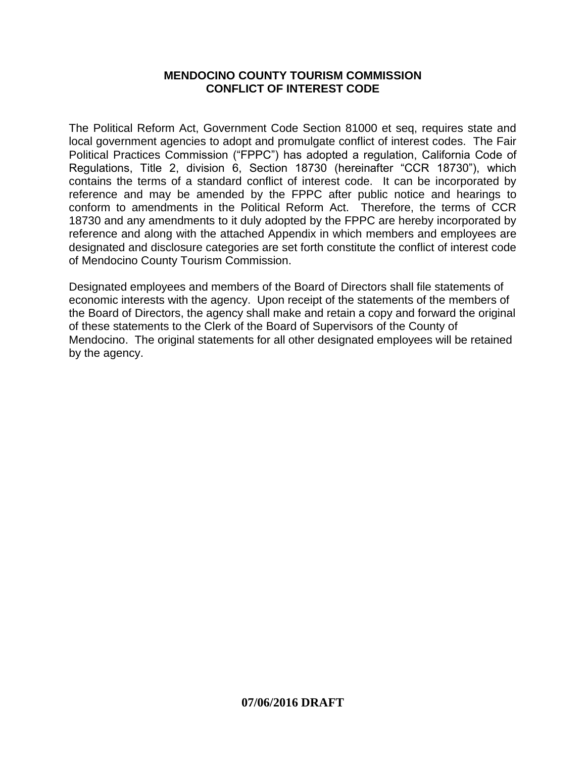#### **MENDOCINO COUNTY TOURISM COMMISSION CONFLICT OF INTEREST CODE**

The Political Reform Act, Government Code Section 81000 et seq, requires state and local government agencies to adopt and promulgate conflict of interest codes. The Fair Political Practices Commission ("FPPC") has adopted a regulation, California Code of Regulations, Title 2, division 6, Section 18730 (hereinafter "CCR 18730"), which contains the terms of a standard conflict of interest code. It can be incorporated by reference and may be amended by the FPPC after public notice and hearings to conform to amendments in the Political Reform Act. Therefore, the terms of CCR 18730 and any amendments to it duly adopted by the FPPC are hereby incorporated by reference and along with the attached Appendix in which members and employees are designated and disclosure categories are set forth constitute the conflict of interest code of Mendocino County Tourism Commission.

Designated employees and members of the Board of Directors shall file statements of economic interests with the agency. Upon receipt of the statements of the members of the Board of Directors, the agency shall make and retain a copy and forward the original of these statements to the Clerk of the Board of Supervisors of the County of Mendocino. The original statements for all other designated employees will be retained by the agency.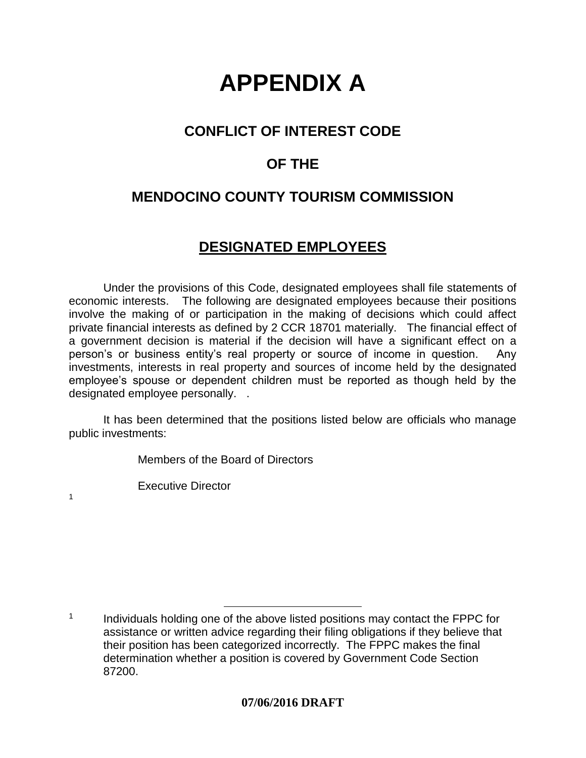# **APPENDIX A**

## **CONFLICT OF INTEREST CODE**

# **OF THE**

# **MENDOCINO COUNTY TOURISM COMMISSION**

#### **DESIGNATED EMPLOYEES**

Under the provisions of this Code, designated employees shall file statements of economic interests. The following are designated employees because their positions involve the making of or participation in the making of decisions which could affect private financial interests as defined by 2 CCR 18701 materially. The financial effect of a government decision is material if the decision will have a significant effect on a person's or business entity's real property or source of income in question. Any investments, interests in real property and sources of income held by the designated employee's spouse or dependent children must be reported as though held by the designated employee personally. .

It has been determined that the positions listed below are officials who manage public investments:

Members of the Board of Directors

Executive Director

1

 1 Individuals holding one of the above listed positions may contact the FPPC for assistance or written advice regarding their filing obligations if they believe that their position has been categorized incorrectly. The FPPC makes the final determination whether a position is covered by Government Code Section 87200.